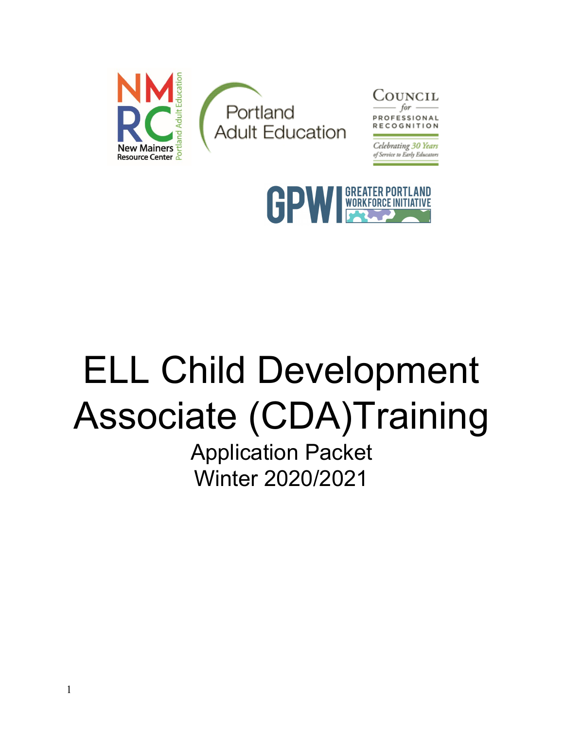



# ELL Child Development Associate (CDA)Training

Application Packet Winter 2020/2021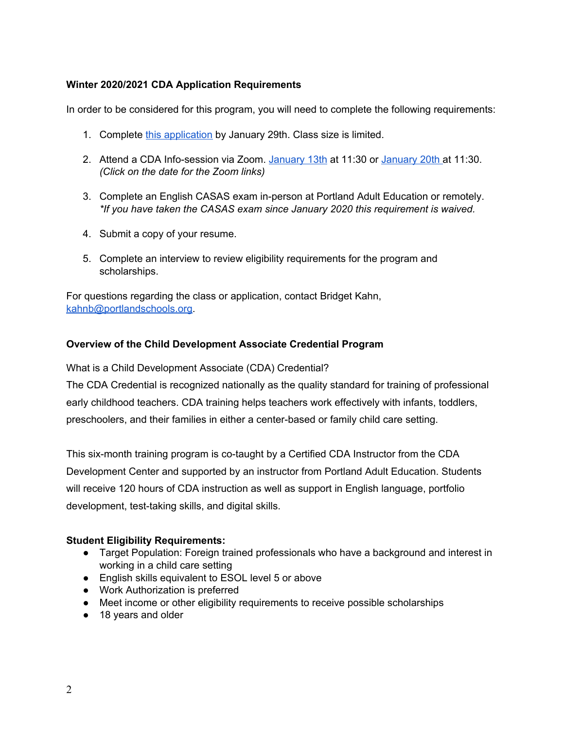## **Winter 2020/2021 CDA Application Requirements**

In order to be considered for this program, you will need to complete the following requirements:

- 1. Complete this [application](https://docs.google.com/forms/d/e/1FAIpQLSd7SGjJoTWHR3rz0wHZGAPZY8MwFoSUFxfqif8_p11PJeon3A/viewform?usp=sf_link) by January 29th. Class size is limited.
- 2. Attend a CDA Info-session via Zoom. [January](https://us04web.zoom.us/j/72867792549?pwd=aEd1UWp5ZDZsczJnVTNDQmFkbHdkdz09) 13th at 11:30 or January 20th at 11:30. *(Click on the date for the Zoom links)*
- 3. Complete an English CASAS exam in-person at Portland Adult Education or remotely. *\*If you have taken the CASAS exam since January 2020 this requirement is waived.*
- 4. Submit a copy of your resume.
- 5. Complete an interview to review eligibility requirements for the program and scholarships.

For questions regarding the class or application, contact Bridget Kahn, [kahnb@portlandschools.org](mailto:kahnb@portlandschools.org).

## **Overview of the Child Development Associate Credential Program**

What is a Child Development Associate (CDA) Credential?

The CDA Credential is recognized nationally as the quality standard for training of professional early childhood teachers. CDA training helps teachers work effectively with infants, toddlers, preschoolers, and their families in either a center-based or family child care setting.

This six-month training program is co-taught by a Certified CDA Instructor from the CDA Development Center and supported by an instructor from Portland Adult Education. Students will receive 120 hours of CDA instruction as well as support in English language, portfolio development, test-taking skills, and digital skills.

### **Student Eligibility Requirements:**

- Target Population: Foreign trained professionals who have a background and interest in working in a child care setting
- English skills equivalent to ESOL level 5 or above
- Work Authorization is preferred
- Meet income or other eligibility requirements to receive possible scholarships
- 18 years and older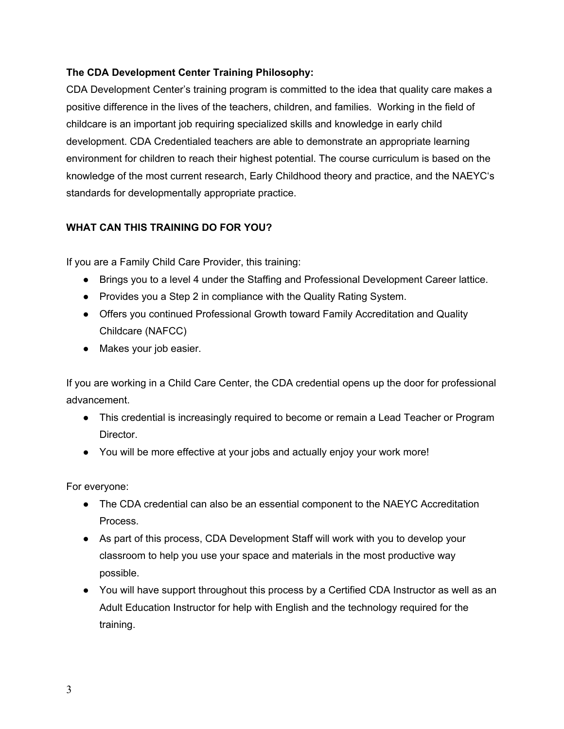## **The CDA Development Center Training Philosophy:**

CDA Development Center's training program is committed to the idea that quality care makes a positive difference in the lives of the teachers, children, and families. Working in the field of childcare is an important job requiring specialized skills and knowledge in early child development. CDA Credentialed teachers are able to demonstrate an appropriate learning environment for children to reach their highest potential. The course curriculum is based on the knowledge of the most current research, Early Childhood theory and practice, and the NAEYC's standards for developmentally appropriate practice.

## **WHAT CAN THIS TRAINING DO FOR YOU?**

If you are a Family Child Care Provider, this training:

- Brings you to a level 4 under the Staffing and Professional Development Career lattice.
- Provides you a Step 2 in compliance with the Quality Rating System.
- Offers you continued Professional Growth toward Family Accreditation and Quality Childcare (NAFCC)
- Makes your job easier.

If you are working in a Child Care Center, the CDA credential opens up the door for professional advancement.

- This credential is increasingly required to become or remain a Lead Teacher or Program Director.
- You will be more effective at your jobs and actually enjoy your work more!

For everyone:

- The CDA credential can also be an essential component to the NAEYC Accreditation Process.
- As part of this process, CDA Development Staff will work with you to develop your classroom to help you use your space and materials in the most productive way possible.
- You will have support throughout this process by a Certified CDA Instructor as well as an Adult Education Instructor for help with English and the technology required for the training.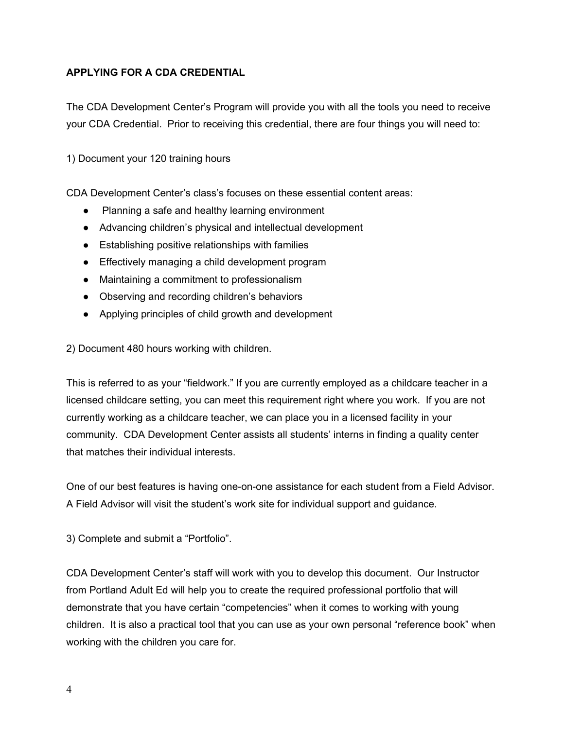## **APPLYING FOR A CDA CREDENTIAL**

The CDA Development Center's Program will provide you with all the tools you need to receive your CDA Credential. Prior to receiving this credential, there are four things you will need to:

1) Document your 120 training hours

CDA Development Center's class's focuses on these essential content areas:

- Planning a safe and healthy learning environment
- Advancing children's physical and intellectual development
- Establishing positive relationships with families
- Effectively managing a child development program
- Maintaining a commitment to professionalism
- Observing and recording children's behaviors
- Applying principles of child growth and development

2) Document 480 hours working with children.

This is referred to as your "fieldwork." If you are currently employed as a childcare teacher in a licensed childcare setting, you can meet this requirement right where you work. If you are not currently working as a childcare teacher, we can place you in a licensed facility in your community. CDA Development Center assists all students' interns in finding a quality center that matches their individual interests.

One of our best features is having one-on-one assistance for each student from a Field Advisor. A Field Advisor will visit the student's work site for individual support and guidance.

3) Complete and submit a "Portfolio".

CDA Development Center's staff will work with you to develop this document. Our Instructor from Portland Adult Ed will help you to create the required professional portfolio that will demonstrate that you have certain "competencies" when it comes to working with young children. It is also a practical tool that you can use as your own personal "reference book" when working with the children you care for.